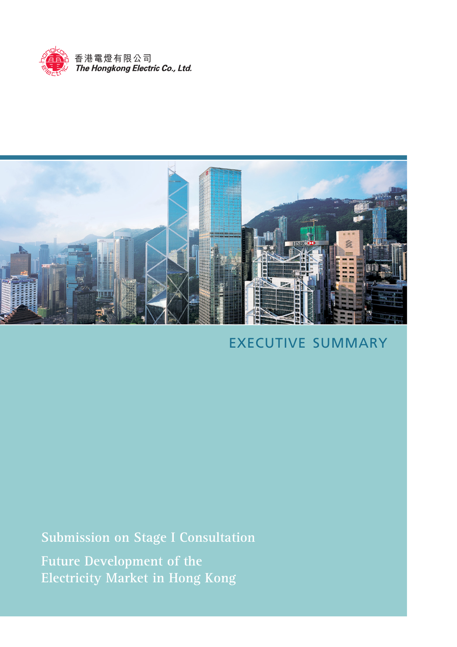



# EXECUTIVE SUMMARY

**Submission on Stage I Consultation**

**Future Development of the Electricity Market in Hong Kong**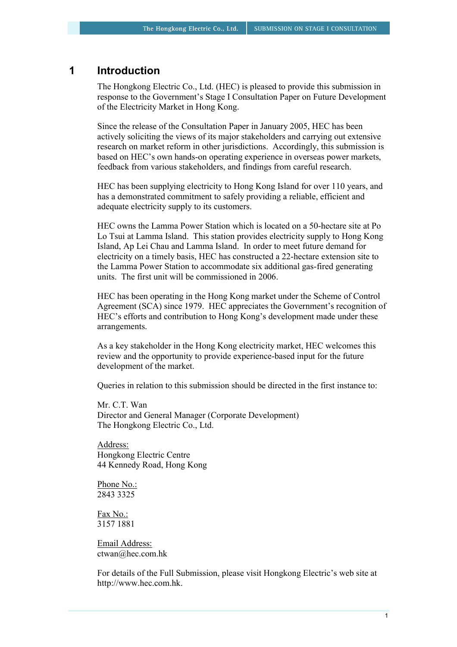## **1 Introduction**

The Hongkong Electric Co., Ltd. (HEC) is pleased to provide this submission in response to the Government's Stage I Consultation Paper on Future Development of the Electricity Market in Hong Kong.

Since the release of the Consultation Paper in January 2005, HEC has been actively soliciting the views of its major stakeholders and carrying out extensive research on market reform in other jurisdictions. Accordingly, this submission is based on HEC's own hands-on operating experience in overseas power markets, feedback from various stakeholders, and findings from careful research.

HEC has been supplying electricity to Hong Kong Island for over 110 years, and has a demonstrated commitment to safely providing a reliable, efficient and adequate electricity supply to its customers.

HEC owns the Lamma Power Station which is located on a 50-hectare site at Po Lo Tsui at Lamma Island. This station provides electricity supply to Hong Kong Island, Ap Lei Chau and Lamma Island. In order to meet future demand for electricity on a timely basis, HEC has constructed a 22-hectare extension site to the Lamma Power Station to accommodate six additional gas-fired generating units. The first unit will be commissioned in 2006.

HEC has been operating in the Hong Kong market under the Scheme of Control Agreement (SCA) since 1979. HEC appreciates the Government's recognition of HEC's efforts and contribution to Hong Kong's development made under these arrangements.

As a key stakeholder in the Hong Kong electricity market, HEC welcomes this review and the opportunity to provide experience-based input for the future development of the market.

Queries in relation to this submission should be directed in the first instance to:

Mr. C.T. Wan Director and General Manager (Corporate Development) The Hongkong Electric Co., Ltd.

Address: Hongkong Electric Centre 44 Kennedy Road, Hong Kong

Phone No.: 2843 3325

Fax No.: 3157 1881

Email Address: ctwan@hec.com.hk

For details of the Full Submission, please visit Hongkong Electric's web site at http://www.hec.com.hk.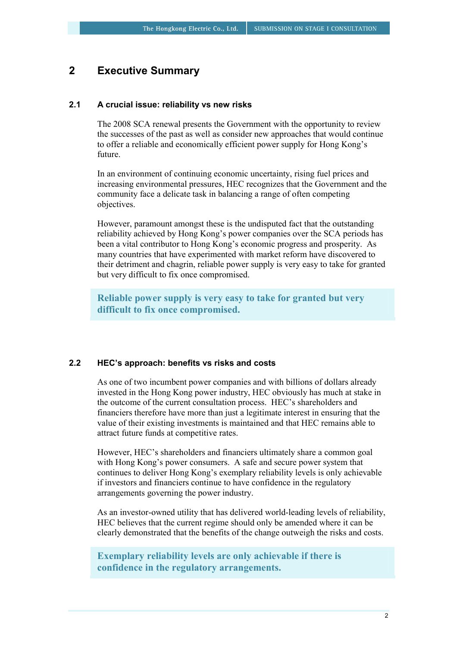## **2 Executive Summary**

#### **2.1 A crucial issue: reliability vs new risks**

The 2008 SCA renewal presents the Government with the opportunity to review the successes of the past as well as consider new approaches that would continue to offer a reliable and economically efficient power supply for Hong Kong's future.

In an environment of continuing economic uncertainty, rising fuel prices and increasing environmental pressures, HEC recognizes that the Government and the community face a delicate task in balancing a range of often competing objectives.

However, paramount amongst these is the undisputed fact that the outstanding reliability achieved by Hong Kong's power companies over the SCA periods has been a vital contributor to Hong Kong's economic progress and prosperity. As many countries that have experimented with market reform have discovered to their detriment and chagrin, reliable power supply is very easy to take for granted but very difficult to fix once compromised.

**Reliable power supply is very easy to take for granted but very difficult to fix once compromised.** 

#### **2.2 HEC's approach: benefits vs risks and costs**

As one of two incumbent power companies and with billions of dollars already invested in the Hong Kong power industry, HEC obviously has much at stake in the outcome of the current consultation process. HEC's shareholders and financiers therefore have more than just a legitimate interest in ensuring that the value of their existing investments is maintained and that HEC remains able to attract future funds at competitive rates.

However, HEC's shareholders and financiers ultimately share a common goal with Hong Kong's power consumers. A safe and secure power system that continues to deliver Hong Kong's exemplary reliability levels is only achievable if investors and financiers continue to have confidence in the regulatory arrangements governing the power industry.

As an investor-owned utility that has delivered world-leading levels of reliability, HEC believes that the current regime should only be amended where it can be clearly demonstrated that the benefits of the change outweigh the risks and costs.

## **Exemplary reliability levels are only achievable if there is confidence in the regulatory arrangements.**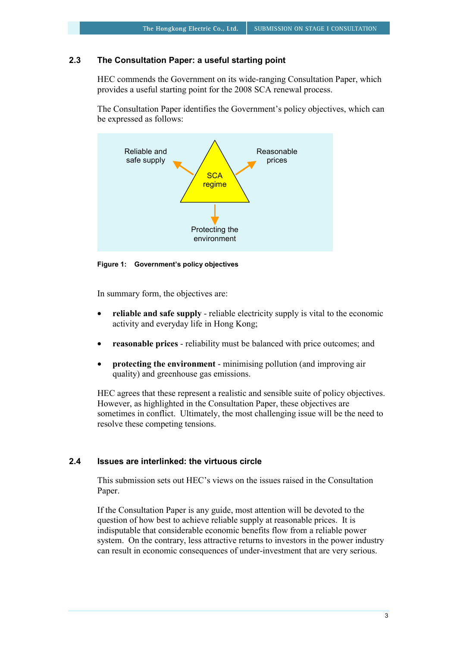## **2.3 The Consultation Paper: a useful starting point**

HEC commends the Government on its wide-ranging Consultation Paper, which provides a useful starting point for the 2008 SCA renewal process.

The Consultation Paper identifies the Government's policy objectives, which can be expressed as follows:



**Figure 1: Government's policy objectives** 

In summary form, the objectives are:

- **reliable and safe supply** reliable electricity supply is vital to the economic activity and everyday life in Hong Kong;
- **reasonable prices** reliability must be balanced with price outcomes; and
- **protecting the environment** minimising pollution (and improving air quality) and greenhouse gas emissions.

HEC agrees that these represent a realistic and sensible suite of policy objectives. However, as highlighted in the Consultation Paper, these objectives are sometimes in conflict. Ultimately, the most challenging issue will be the need to resolve these competing tensions.

## **2.4 Issues are interlinked: the virtuous circle**

This submission sets out HEC's views on the issues raised in the Consultation Paper.

If the Consultation Paper is any guide, most attention will be devoted to the question of how best to achieve reliable supply at reasonable prices. It is indisputable that considerable economic benefits flow from a reliable power system. On the contrary, less attractive returns to investors in the power industry can result in economic consequences of under-investment that are very serious.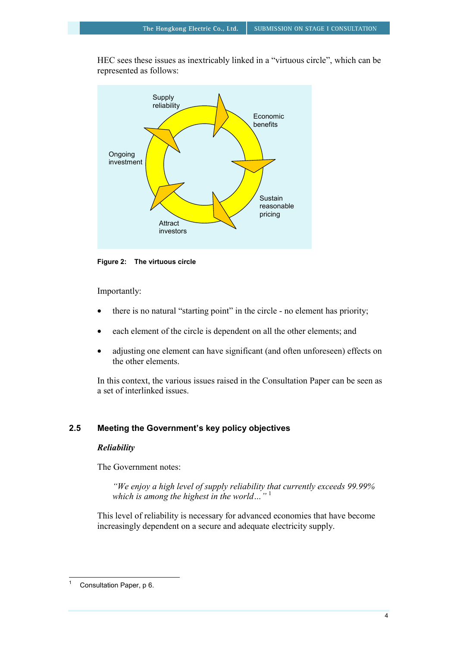HEC sees these issues as inextricably linked in a "virtuous circle", which can be represented as follows:



**Figure 2: The virtuous circle** 

Importantly:

- there is no natural "starting point" in the circle no element has priority;
- each element of the circle is dependent on all the other elements; and
- adjusting one element can have significant (and often unforeseen) effects on the other elements.

In this context, the various issues raised in the Consultation Paper can be seen as a set of interlinked issues.

## **2.5 Meeting the Government's key policy objectives**

## *Reliability*

The Government notes:

*"We enjoy a high level of supply reliability that currently exceeds 99.99% which is among the highest in the world…"* <sup>1</sup>

This level of reliability is necessary for advanced economies that have become increasingly dependent on a secure and adequate electricity supply.

 $\overline{a}$ 1 Consultation Paper, p 6.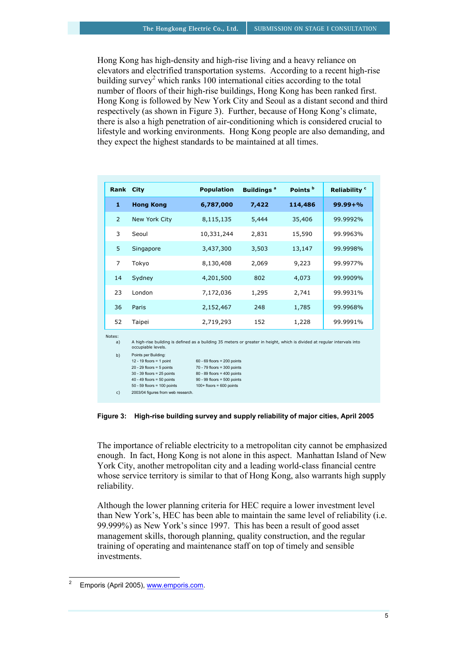Hong Kong has high-density and high-rise living and a heavy reliance on elevators and electrified transportation systems. According to a recent high-rise building survey<sup>2</sup> which ranks 100 international cities according to the total number of floors of their high-rise buildings, Hong Kong has been ranked first. Hong Kong is followed by New York City and Seoul as a distant second and third respectively (as shown in Figure 3). Further, because of Hong Kong's climate, there is also a high penetration of air-conditioning which is considered crucial to lifestyle and working environments. Hong Kong people are also demanding, and they expect the highest standards to be maintained at all times.

| Rank City                |                                                                                                                                                                                                                                                                                                                                                                                                                                                                                                                                            | <b>Population</b> | <b>Buildings</b> <sup>a</sup> | Points <sup>b</sup> | Reliability <sup>c</sup> |
|--------------------------|--------------------------------------------------------------------------------------------------------------------------------------------------------------------------------------------------------------------------------------------------------------------------------------------------------------------------------------------------------------------------------------------------------------------------------------------------------------------------------------------------------------------------------------------|-------------------|-------------------------------|---------------------|--------------------------|
| 1                        | <b>Hong Kong</b>                                                                                                                                                                                                                                                                                                                                                                                                                                                                                                                           | 6,787,000         | 7,422                         | 114,486             | $99.99 + %$              |
| 2                        | New York City                                                                                                                                                                                                                                                                                                                                                                                                                                                                                                                              | 8,115,135         | 5,444                         | 35,406              | 99.9992%                 |
| 3                        | Seoul                                                                                                                                                                                                                                                                                                                                                                                                                                                                                                                                      | 10,331,244        | 2,831                         | 15,590              | 99.9963%                 |
| 5                        | Singapore                                                                                                                                                                                                                                                                                                                                                                                                                                                                                                                                  | 3,437,300         | 3,503                         | 13,147              | 99.9998%                 |
| $\overline{7}$           | Tokyo                                                                                                                                                                                                                                                                                                                                                                                                                                                                                                                                      | 8,130,408         | 2,069                         | 9,223               | 99.9977%                 |
| 14                       | Sydney                                                                                                                                                                                                                                                                                                                                                                                                                                                                                                                                     | 4,201,500         | 802                           | 4,073               | 99.9909%                 |
| 23                       | London                                                                                                                                                                                                                                                                                                                                                                                                                                                                                                                                     | 7,172,036         | 1,295                         | 2,741               | 99.9931%                 |
| 36                       | Paris                                                                                                                                                                                                                                                                                                                                                                                                                                                                                                                                      | 2,152,467         | 248                           | 1,785               | 99.9968%                 |
| 52                       | Taipei                                                                                                                                                                                                                                                                                                                                                                                                                                                                                                                                     | 2,719,293         | 152                           | 1,228               | 99.9991%                 |
| Notes:<br>a)<br>b)<br>c) | A high-rise building is defined as a building 35 meters or greater in height, which is divided at regular intervals into<br>occupiable levels.<br>Points per Building:<br>12 - 19 floors = 1 point<br>$60 - 69$ floors = 200 points<br>$20 - 29$ floors = 5 points<br>$70 - 79$ floors = 300 points<br>$30 - 39$ floors = 25 points<br>$80 - 89$ floors = 400 points<br>$40 - 49$ floors = 50 points<br>$90 - 99$ floors = 500 points<br>$50 - 59$ floors = 100 points<br>$100+$ floors = 600 points<br>2003/04 figures from web research. |                   |                               |                     |                          |

**Figure 3: High-rise building survey and supply reliability of major cities, April 2005** 

The importance of reliable electricity to a metropolitan city cannot be emphasized enough. In fact, Hong Kong is not alone in this aspect. Manhattan Island of New York City, another metropolitan city and a leading world-class financial centre whose service territory is similar to that of Hong Kong, also warrants high supply reliability.

Although the lower planning criteria for HEC require a lower investment level than New York's, HEC has been able to maintain the same level of reliability (i.e. 99.999%) as New York's since 1997. This has been a result of good asset management skills, thorough planning, quality construction, and the regular training of operating and maintenance staff on top of timely and sensible investments.

 $\overline{a}$ 

<sup>2</sup> Emporis (April 2005), www.emporis.com.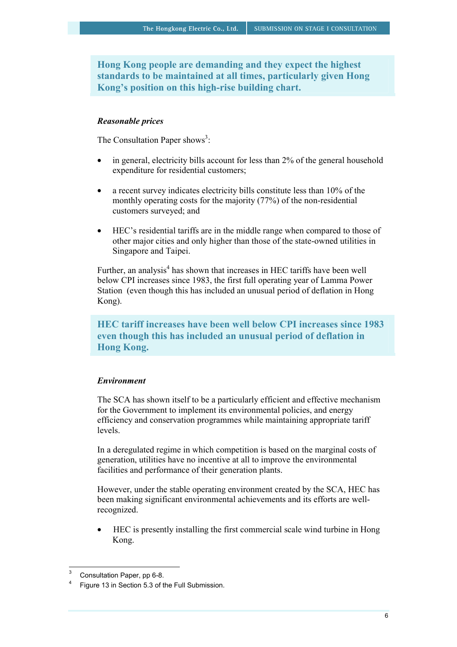**Hong Kong people are demanding and they expect the highest standards to be maintained at all times, particularly given Hong Kong's position on this high-rise building chart.** 

#### *Reasonable prices*

The Consultation Paper shows<sup>3</sup>:

- in general, electricity bills account for less than 2% of the general household expenditure for residential customers;
- a recent survey indicates electricity bills constitute less than 10% of the monthly operating costs for the majority (77%) of the non-residential customers surveyed; and
- HEC's residential tariffs are in the middle range when compared to those of other major cities and only higher than those of the state-owned utilities in Singapore and Taipei.

Further, an analysis<sup>4</sup> has shown that increases in HEC tariffs have been well below CPI increases since 1983, the first full operating year of Lamma Power Station (even though this has included an unusual period of deflation in Hong Kong).

**HEC tariff increases have been well below CPI increases since 1983 even though this has included an unusual period of deflation in Hong Kong.** 

## *Environment*

The SCA has shown itself to be a particularly efficient and effective mechanism for the Government to implement its environmental policies, and energy efficiency and conservation programmes while maintaining appropriate tariff levels.

In a deregulated regime in which competition is based on the marginal costs of generation, utilities have no incentive at all to improve the environmental facilities and performance of their generation plants.

However, under the stable operating environment created by the SCA, HEC has been making significant environmental achievements and its efforts are wellrecognized.

• HEC is presently installing the first commercial scale wind turbine in Hong Kong.

<sup>3</sup> Consultation Paper, pp 6-8.

<sup>4</sup> Figure 13 in Section 5.3 of the Full Submission.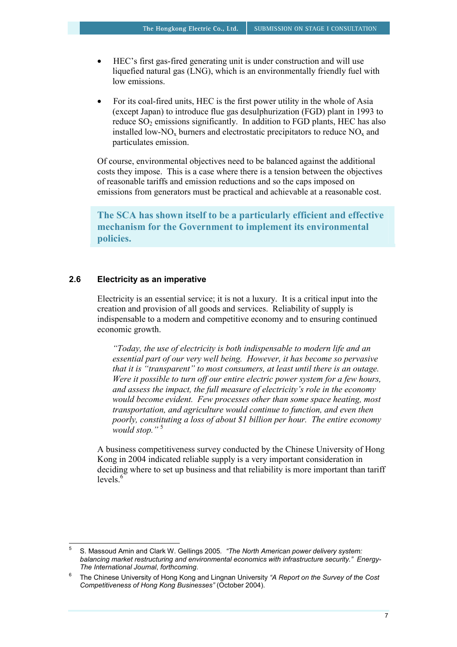- HEC's first gas-fired generating unit is under construction and will use liquefied natural gas (LNG), which is an environmentally friendly fuel with low emissions.
- For its coal-fired units, HEC is the first power utility in the whole of Asia (except Japan) to introduce flue gas desulphurization (FGD) plant in 1993 to reduce  $SO_2$  emissions significantly. In addition to FGD plants, HEC has also installed low-NO<sub>x</sub> burners and electrostatic precipitators to reduce  $NO<sub>x</sub>$  and particulates emission.

Of course, environmental objectives need to be balanced against the additional costs they impose. This is a case where there is a tension between the objectives of reasonable tariffs and emission reductions and so the caps imposed on emissions from generators must be practical and achievable at a reasonable cost.

**The SCA has shown itself to be a particularly efficient and effective mechanism for the Government to implement its environmental policies.** 

## **2.6 Electricity as an imperative**

Electricity is an essential service; it is not a luxury. It is a critical input into the creation and provision of all goods and services. Reliability of supply is indispensable to a modern and competitive economy and to ensuring continued economic growth.

*"Today, the use of electricity is both indispensable to modern life and an essential part of our very well being. However, it has become so pervasive that it is "transparent" to most consumers, at least until there is an outage. Were it possible to turn off our entire electric power system for a few hours, and assess the impact, the full measure of electricity's role in the economy would become evident. Few processes other than some space heating, most transportation, and agriculture would continue to function, and even then poorly, constituting a loss of about \$1 billion per hour. The entire economy would stop."* <sup>5</sup>

A business competitiveness survey conducted by the Chinese University of Hong Kong in 2004 indicated reliable supply is a very important consideration in deciding where to set up business and that reliability is more important than tariff levels $6$ 

 5 S. Massoud Amin and Clark W. Gellings 2005*. "The North American power delivery system: balancing market restructuring and environmental economics with infrastructure security." Energy-The International Journal*, *forthcoming*. 6

The Chinese University of Hong Kong and Lingnan University *"A Report on the Survey of the Cost Competitiveness of Hong Kong Businesses"* (October 2004).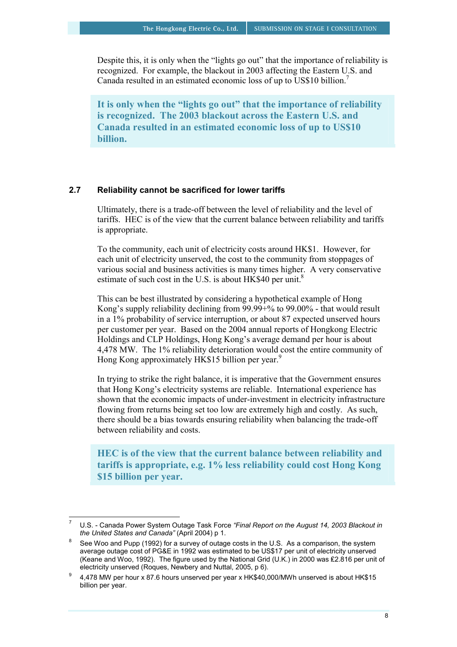Despite this, it is only when the "lights go out" that the importance of reliability is recognized. For example, the blackout in 2003 affecting the Eastern U.S. and Canada resulted in an estimated economic loss of up to US\$10 billion.7

**It is only when the "lights go out" that the importance of reliability is recognized. The 2003 blackout across the Eastern U.S. and Canada resulted in an estimated economic loss of up to US\$10 billion.** 

## **2.7 Reliability cannot be sacrificed for lower tariffs**

Ultimately, there is a trade-off between the level of reliability and the level of tariffs. HEC is of the view that the current balance between reliability and tariffs is appropriate.

To the community, each unit of electricity costs around HK\$1. However, for each unit of electricity unserved, the cost to the community from stoppages of various social and business activities is many times higher. A very conservative estimate of such cost in the U.S. is about HK\$40 per unit. $8$ 

This can be best illustrated by considering a hypothetical example of Hong Kong's supply reliability declining from 99.99+% to 99.00% - that would result in a 1% probability of service interruption, or about 87 expected unserved hours per customer per year. Based on the 2004 annual reports of Hongkong Electric Holdings and CLP Holdings, Hong Kong's average demand per hour is about 4,478 MW. The 1% reliability deterioration would cost the entire community of Hong Kong approximately HK\$15 billion per year.<sup>9</sup>

In trying to strike the right balance, it is imperative that the Government ensures that Hong Kong's electricity systems are reliable. International experience has shown that the economic impacts of under-investment in electricity infrastructure flowing from returns being set too low are extremely high and costly. As such, there should be a bias towards ensuring reliability when balancing the trade-off between reliability and costs.

**HEC is of the view that the current balance between reliability and tariffs is appropriate, e.g. 1% less reliability could cost Hong Kong \$15 billion per year.** 

 $\overline{a}$ 

<sup>7</sup> U.S. - Canada Power System Outage Task Force *"Final Report on the August 14, 2003 Blackout in the United States and Canada"* (April 2004) p 1.

See Woo and Pupp (1992) for a survey of outage costs in the U.S. As a comparison, the system average outage cost of PG&E in 1992 was estimated to be US\$17 per unit of electricity unserved (Keane and Woo, 1992). The figure used by the National Grid (U.K.) in 2000 was ₤2.816 per unit of electricity unserved (Roques, Newbery and Nuttal, 2005, p 6).

electricity under  $\frac{1}{2}$ . 4,478 MW per hour x 87.6 hours unserved per year x HK\$40,000/MWh unserved is about HK\$15 billion per year.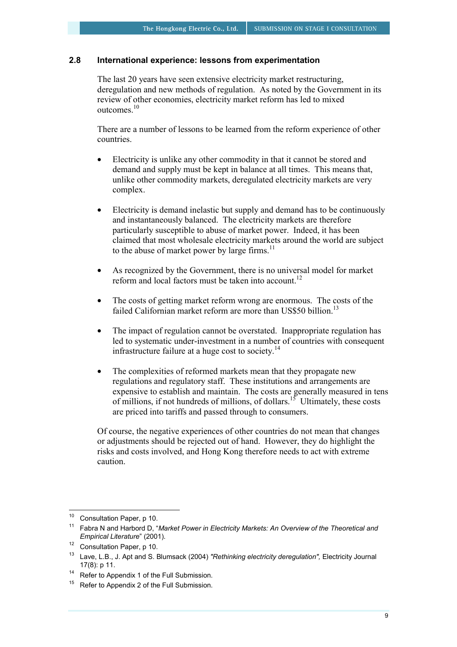## **2.8 International experience: lessons from experimentation**

The last 20 years have seen extensive electricity market restructuring, deregulation and new methods of regulation. As noted by the Government in its review of other economies, electricity market reform has led to mixed outcomes.10

There are a number of lessons to be learned from the reform experience of other countries.

- Electricity is unlike any other commodity in that it cannot be stored and demand and supply must be kept in balance at all times. This means that, unlike other commodity markets, deregulated electricity markets are very complex.
- Electricity is demand inelastic but supply and demand has to be continuously and instantaneously balanced. The electricity markets are therefore particularly susceptible to abuse of market power. Indeed, it has been claimed that most wholesale electricity markets around the world are subject to the abuse of market power by large firms. $^{11}$
- As recognized by the Government, there is no universal model for market reform and local factors must be taken into account.<sup>12</sup>
- The costs of getting market reform wrong are enormous. The costs of the failed Californian market reform are more than US\$50 billion.<sup>13</sup>
- The impact of regulation cannot be overstated. Inappropriate regulation has led to systematic under-investment in a number of countries with consequent infrastructure failure at a huge cost to society.<sup>14</sup>
- The complexities of reformed markets mean that they propagate new regulations and regulatory staff. These institutions and arrangements are expensive to establish and maintain. The costs are generally measured in tens of millions, if not hundreds of millions, of dollars.15 Ultimately, these costs are priced into tariffs and passed through to consumers.

Of course, the negative experiences of other countries do not mean that changes or adjustments should be rejected out of hand. However, they do highlight the risks and costs involved, and Hong Kong therefore needs to act with extreme caution.

 $10$ Consultation Paper, p 10.

<sup>11</sup> Fabra N and Harbord D, "*Market Power in Electricity Markets: An Overview of the Theoretical and Empirical Literature*" (2001).

<sup>12</sup> Consultation Paper, p 10.

<sup>13</sup> Lave, L.B., J. Apt and S. Blumsack (2004) *"Rethinking electricity deregulation",* Electricity Journal 17(8): p 11.<br><sup>14</sup> Refer to Appendix 1 of the Full Submission.

 $15$  Refer to Appendix 2 of the Full Submission.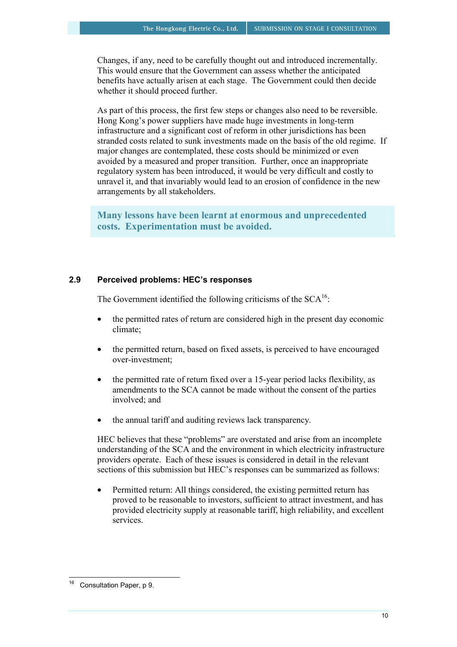Changes, if any, need to be carefully thought out and introduced incrementally. This would ensure that the Government can assess whether the anticipated benefits have actually arisen at each stage. The Government could then decide whether it should proceed further.

As part of this process, the first few steps or changes also need to be reversible. Hong Kong's power suppliers have made huge investments in long-term infrastructure and a significant cost of reform in other jurisdictions has been stranded costs related to sunk investments made on the basis of the old regime. If major changes are contemplated, these costs should be minimized or even avoided by a measured and proper transition. Further, once an inappropriate regulatory system has been introduced, it would be very difficult and costly to unravel it, and that invariably would lead to an erosion of confidence in the new arrangements by all stakeholders.

**Many lessons have been learnt at enormous and unprecedented costs. Experimentation must be avoided.** 

#### **2.9 Perceived problems: HEC's responses**

The Government identified the following criticisms of the  $SCA<sup>16</sup>$ :

- the permitted rates of return are considered high in the present day economic climate;
- the permitted return, based on fixed assets, is perceived to have encouraged over-investment;
- the permitted rate of return fixed over a 15-year period lacks flexibility, as amendments to the SCA cannot be made without the consent of the parties involved; and
- the annual tariff and auditing reviews lack transparency.

HEC believes that these "problems" are overstated and arise from an incomplete understanding of the SCA and the environment in which electricity infrastructure providers operate. Each of these issues is considered in detail in the relevant sections of this submission but HEC's responses can be summarized as follows:

• Permitted return: All things considered, the existing permitted return has proved to be reasonable to investors, sufficient to attract investment, and has provided electricity supply at reasonable tariff, high reliability, and excellent services.

 $\overline{a}$ 

Consultation Paper, p 9.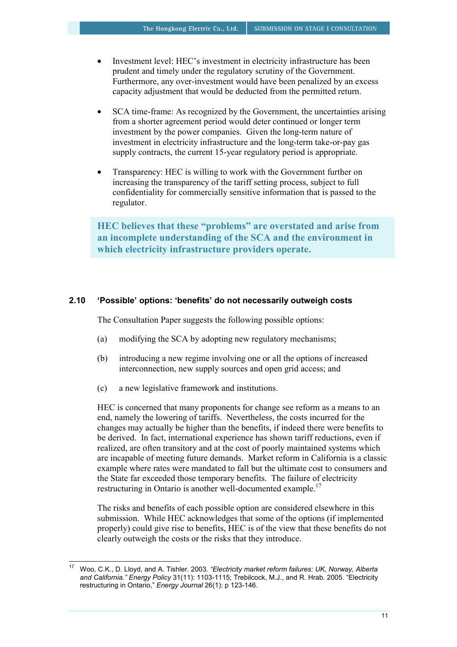- Investment level: HEC's investment in electricity infrastructure has been prudent and timely under the regulatory scrutiny of the Government. Furthermore, any over-investment would have been penalized by an excess capacity adjustment that would be deducted from the permitted return.
- SCA time-frame: As recognized by the Government, the uncertainties arising from a shorter agreement period would deter continued or longer term investment by the power companies. Given the long-term nature of investment in electricity infrastructure and the long-term take-or-pay gas supply contracts, the current 15-year regulatory period is appropriate.
- Transparency: HEC is willing to work with the Government further on increasing the transparency of the tariff setting process, subject to full confidentiality for commercially sensitive information that is passed to the regulator.

**HEC believes that these "problems" are overstated and arise from an incomplete understanding of the SCA and the environment in which electricity infrastructure providers operate.** 

## **2.10 'Possible' options: 'benefits' do not necessarily outweigh costs**

The Consultation Paper suggests the following possible options:

- (a) modifying the SCA by adopting new regulatory mechanisms;
- (b) introducing a new regime involving one or all the options of increased interconnection, new supply sources and open grid access; and
- (c) a new legislative framework and institutions.

 $\overline{a}$ 

HEC is concerned that many proponents for change see reform as a means to an end, namely the lowering of tariffs. Nevertheless, the costs incurred for the changes may actually be higher than the benefits, if indeed there were benefits to be derived. In fact, international experience has shown tariff reductions, even if realized, are often transitory and at the cost of poorly maintained systems which are incapable of meeting future demands. Market reform in California is a classic example where rates were mandated to fall but the ultimate cost to consumers and the State far exceeded those temporary benefits.The failure of electricity restructuring in Ontario is another well-documented example.<sup>17</sup>

The risks and benefits of each possible option are considered elsewhere in this submission. While HEC acknowledges that some of the options (if implemented properly) could give rise to benefits, HEC is of the view that these benefits do not clearly outweigh the costs or the risks that they introduce.

<sup>17</sup> Woo, C.K., D. Lloyd, and A. Tishler. 2003*. "Electricity market reform failures: UK, Norway, Alberta and California." Energy Policy* 31(11): 1103-1115; Trebilcock, M.J., and R. Hrab. 2005. "Electricity restructuring in Ontario," *Energy Journal* 26(1): p 123-146.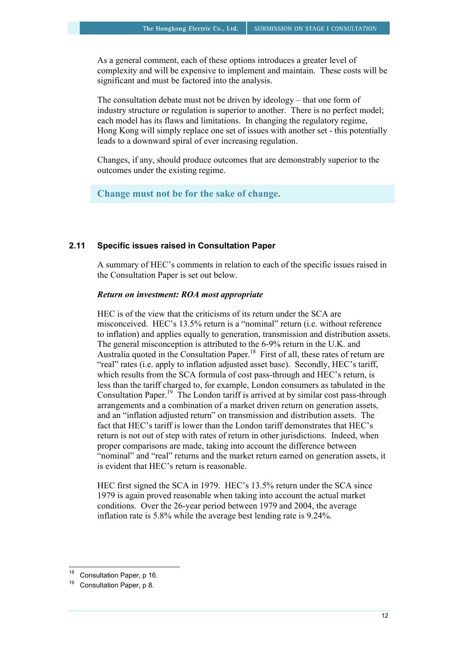As a general comment, each of these options introduces a greater level of complexity and will be expensive to implement and maintain. These costs will be significant and must be factored into the analysis.

The consultation debate must not be driven by ideology – that one form of industry structure or regulation is superior to another. There is no perfect model; each model has its flaws and limitations. In changing the regulatory regime, Hong Kong will simply replace one set of issues with another set - this potentially leads to a downward spiral of ever increasing regulation.

Changes, if any, should produce outcomes that are demonstrably superior to the outcomes under the existing regime.

**Change must not be for the sake of change.** 

## **2.11 Specific issues raised in Consultation Paper**

A summary of HEC's comments in relation to each of the specific issues raised in the Consultation Paper is set out below.

#### *Return on investment: ROA most appropriate*

HEC is of the view that the criticisms of its return under the SCA are misconceived. HEC's 13.5% return is a "nominal" return (i.e. without reference to inflation) and applies equally to generation, transmission and distribution assets. The general misconception is attributed to the 6-9% return in the U.K. and Australia quoted in the Consultation Paper.<sup>18</sup> First of all, these rates of return are "real" rates (i.e. apply to inflation adjusted asset base). Secondly, HEC's tariff, which results from the SCA formula of cost pass-through and HEC's return, is less than the tariff charged to, for example, London consumers as tabulated in the Consultation Paper.<sup>19</sup> The London tariff is arrived at by similar cost pass-through arrangements and a combination of a market driven return on generation assets, and an "inflation adjusted return" on transmission and distribution assets. The fact that HEC's tariff is lower than the London tariff demonstrates that HEC's return is not out of step with rates of return in other jurisdictions. Indeed, when proper comparisons are made, taking into account the difference between "nominal" and "real" returns and the market return earned on generation assets, it is evident that HEC's return is reasonable.

HEC first signed the SCA in 1979. HEC's 13.5% return under the SCA since 1979 is again proved reasonable when taking into account the actual market conditions. Over the 26-year period between 1979 and 2004, the average inflation rate is 5.8% while the average best lending rate is 9.24%.

 $18$ Consultation Paper, p 16.

<sup>&</sup>lt;sup>19</sup> Consultation Paper, p 8.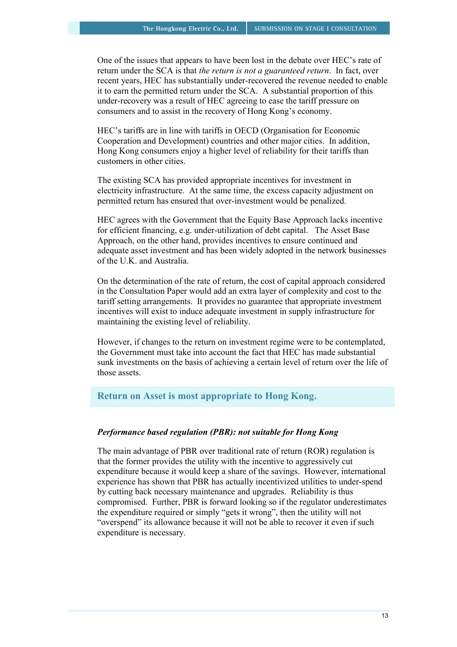One of the issues that appears to have been lost in the debate over HEC's rate of return under the SCA is that *the return is not a guaranteed return*. In fact, over recent years, HEC has substantially under-recovered the revenue needed to enable it to earn the permitted return under the SCA. A substantial proportion of this under-recovery was a result of HEC agreeing to ease the tariff pressure on consumers and to assist in the recovery of Hong Kong's economy.

HEC's tariffs are in line with tariffs in OECD (Organisation for Economic Cooperation and Development) countries and other major cities. In addition, Hong Kong consumers enjoy a higher level of reliability for their tariffs than customers in other cities.

The existing SCA has provided appropriate incentives for investment in electricity infrastructure. At the same time, the excess capacity adjustment on permitted return has ensured that over-investment would be penalized.

HEC agrees with the Government that the Equity Base Approach lacks incentive for efficient financing, e.g. under-utilization of debt capital. The Asset Base Approach, on the other hand, provides incentives to ensure continued and adequate asset investment and has been widely adopted in the network businesses of the U.K. and Australia.

On the determination of the rate of return, the cost of capital approach considered in the Consultation Paper would add an extra layer of complexity and cost to the tariff setting arrangements. It provides no guarantee that appropriate investment incentives will exist to induce adequate investment in supply infrastructure for maintaining the existing level of reliability.

However, if changes to the return on investment regime were to be contemplated, the Government must take into account the fact that HEC has made substantial sunk investments on the basis of achieving a certain level of return over the life of those assets.

## **Return on Asset is most appropriate to Hong Kong.**

## *Performance based regulation (PBR): not suitable for Hong Kong*

The main advantage of PBR over traditional rate of return (ROR) regulation is that the former provides the utility with the incentive to aggressively cut expenditure because it would keep a share of the savings. However, international experience has shown that PBR has actually incentivized utilities to under-spend by cutting back necessary maintenance and upgrades. Reliability is thus compromised. Further, PBR is forward looking so if the regulator underestimates the expenditure required or simply "gets it wrong", then the utility will not "overspend" its allowance because it will not be able to recover it even if such expenditure is necessary.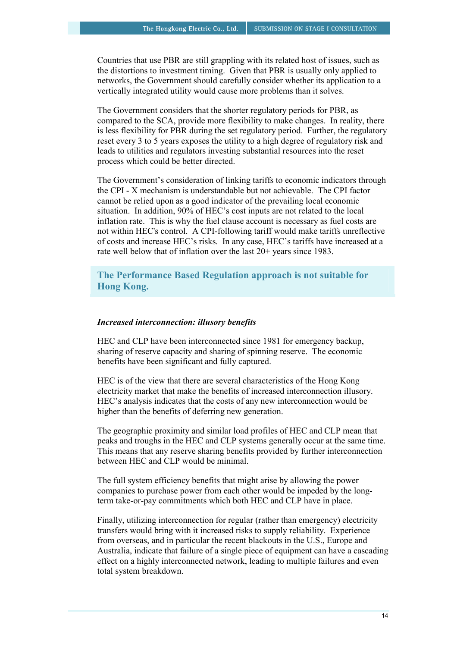Countries that use PBR are still grappling with its related host of issues, such as the distortions to investment timing. Given that PBR is usually only applied to networks, the Government should carefully consider whether its application to a vertically integrated utility would cause more problems than it solves.

The Government considers that the shorter regulatory periods for PBR, as compared to the SCA, provide more flexibility to make changes. In reality, there is less flexibility for PBR during the set regulatory period. Further, the regulatory reset every 3 to 5 years exposes the utility to a high degree of regulatory risk and leads to utilities and regulators investing substantial resources into the reset process which could be better directed.

The Government's consideration of linking tariffs to economic indicators through the CPI - X mechanism is understandable but not achievable. The CPI factor cannot be relied upon as a good indicator of the prevailing local economic situation. In addition, 90% of HEC's cost inputs are not related to the local inflation rate. This is why the fuel clause account is necessary as fuel costs are not within HEC's control. A CPI-following tariff would make tariffs unreflective of costs and increase HEC's risks. In any case, HEC's tariffs have increased at a rate well below that of inflation over the last 20+ years since 1983.

**The Performance Based Regulation approach is not suitable for Hong Kong.** 

#### *Increased interconnection: illusory benefits*

HEC and CLP have been interconnected since 1981 for emergency backup, sharing of reserve capacity and sharing of spinning reserve. The economic benefits have been significant and fully captured.

HEC is of the view that there are several characteristics of the Hong Kong electricity market that make the benefits of increased interconnection illusory. HEC's analysis indicates that the costs of any new interconnection would be higher than the benefits of deferring new generation.

The geographic proximity and similar load profiles of HEC and CLP mean that peaks and troughs in the HEC and CLP systems generally occur at the same time. This means that any reserve sharing benefits provided by further interconnection between HEC and CLP would be minimal.

The full system efficiency benefits that might arise by allowing the power companies to purchase power from each other would be impeded by the longterm take-or-pay commitments which both HEC and CLP have in place.

Finally, utilizing interconnection for regular (rather than emergency) electricity transfers would bring with it increased risks to supply reliability. Experience from overseas, and in particular the recent blackouts in the U.S., Europe and Australia, indicate that failure of a single piece of equipment can have a cascading effect on a highly interconnected network, leading to multiple failures and even total system breakdown.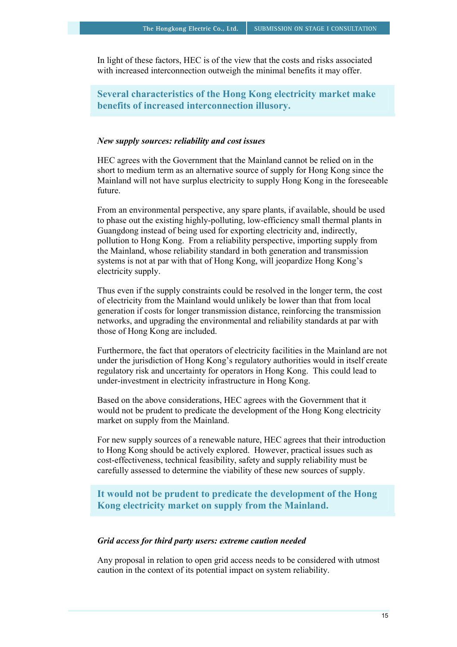In light of these factors, HEC is of the view that the costs and risks associated with increased interconnection outweigh the minimal benefits it may offer.

**Several characteristics of the Hong Kong electricity market make benefits of increased interconnection illusory.** 

#### *New supply sources: reliability and cost issues*

HEC agrees with the Government that the Mainland cannot be relied on in the short to medium term as an alternative source of supply for Hong Kong since the Mainland will not have surplus electricity to supply Hong Kong in the foreseeable future.

From an environmental perspective, any spare plants, if available, should be used to phase out the existing highly-polluting, low-efficiency small thermal plants in Guangdong instead of being used for exporting electricity and, indirectly, pollution to Hong Kong. From a reliability perspective, importing supply from the Mainland, whose reliability standard in both generation and transmission systems is not at par with that of Hong Kong, will jeopardize Hong Kong's electricity supply.

Thus even if the supply constraints could be resolved in the longer term, the cost of electricity from the Mainland would unlikely be lower than that from local generation if costs for longer transmission distance, reinforcing the transmission networks, and upgrading the environmental and reliability standards at par with those of Hong Kong are included.

Furthermore, the fact that operators of electricity facilities in the Mainland are not under the jurisdiction of Hong Kong's regulatory authorities would in itself create regulatory risk and uncertainty for operators in Hong Kong. This could lead to under-investment in electricity infrastructure in Hong Kong.

Based on the above considerations, HEC agrees with the Government that it would not be prudent to predicate the development of the Hong Kong electricity market on supply from the Mainland.

For new supply sources of a renewable nature, HEC agrees that their introduction to Hong Kong should be actively explored. However, practical issues such as cost-effectiveness, technical feasibility, safety and supply reliability must be carefully assessed to determine the viability of these new sources of supply.

**It would not be prudent to predicate the development of the Hong Kong electricity market on supply from the Mainland.** 

#### *Grid access for third party users: extreme caution needed*

Any proposal in relation to open grid access needs to be considered with utmost caution in the context of its potential impact on system reliability.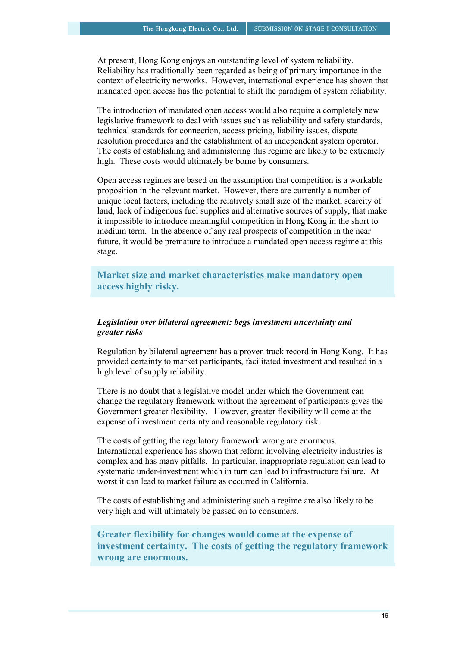At present, Hong Kong enjoys an outstanding level of system reliability. Reliability has traditionally been regarded as being of primary importance in the context of electricity networks. However, international experience has shown that mandated open access has the potential to shift the paradigm of system reliability.

The introduction of mandated open access would also require a completely new legislative framework to deal with issues such as reliability and safety standards, technical standards for connection, access pricing, liability issues, dispute resolution procedures and the establishment of an independent system operator. The costs of establishing and administering this regime are likely to be extremely high. These costs would ultimately be borne by consumers.

Open access regimes are based on the assumption that competition is a workable proposition in the relevant market. However, there are currently a number of unique local factors, including the relatively small size of the market, scarcity of land, lack of indigenous fuel supplies and alternative sources of supply, that make it impossible to introduce meaningful competition in Hong Kong in the short to medium term. In the absence of any real prospects of competition in the near future, it would be premature to introduce a mandated open access regime at this stage.

**Market size and market characteristics make mandatory open access highly risky.** 

## *Legislation over bilateral agreement: begs investment uncertainty and greater risks*

Regulation by bilateral agreement has a proven track record in Hong Kong. It has provided certainty to market participants, facilitated investment and resulted in a high level of supply reliability.

There is no doubt that a legislative model under which the Government can change the regulatory framework without the agreement of participants gives the Government greater flexibility. However, greater flexibility will come at the expense of investment certainty and reasonable regulatory risk.

The costs of getting the regulatory framework wrong are enormous. International experience has shown that reform involving electricity industries is complex and has many pitfalls. In particular, inappropriate regulation can lead to systematic under-investment which in turn can lead to infrastructure failure. At worst it can lead to market failure as occurred in California.

The costs of establishing and administering such a regime are also likely to be very high and will ultimately be passed on to consumers.

**Greater flexibility for changes would come at the expense of investment certainty. The costs of getting the regulatory framework wrong are enormous.**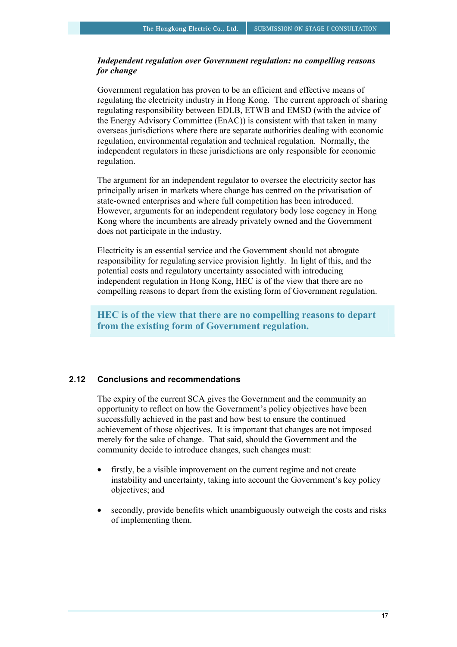## *Independent regulation over Government regulation: no compelling reasons for change*

Government regulation has proven to be an efficient and effective means of regulating the electricity industry in Hong Kong. The current approach of sharing regulating responsibility between EDLB, ETWB and EMSD (with the advice of the Energy Advisory Committee (EnAC)) is consistent with that taken in many overseas jurisdictions where there are separate authorities dealing with economic regulation, environmental regulation and technical regulation. Normally, the independent regulators in these jurisdictions are only responsible for economic regulation.

The argument for an independent regulator to oversee the electricity sector has principally arisen in markets where change has centred on the privatisation of state-owned enterprises and where full competition has been introduced. However, arguments for an independent regulatory body lose cogency in Hong Kong where the incumbents are already privately owned and the Government does not participate in the industry.

Electricity is an essential service and the Government should not abrogate responsibility for regulating service provision lightly. In light of this, and the potential costs and regulatory uncertainty associated with introducing independent regulation in Hong Kong, HEC is of the view that there are no compelling reasons to depart from the existing form of Government regulation.

**HEC is of the view that there are no compelling reasons to depart from the existing form of Government regulation.** 

#### **2.12 Conclusions and recommendations**

The expiry of the current SCA gives the Government and the community an opportunity to reflect on how the Government's policy objectives have been successfully achieved in the past and how best to ensure the continued achievement of those objectives. It is important that changes are not imposed merely for the sake of change. That said, should the Government and the community decide to introduce changes, such changes must:

- firstly, be a visible improvement on the current regime and not create instability and uncertainty, taking into account the Government's key policy objectives; and
- secondly, provide benefits which unambiguously outweigh the costs and risks of implementing them.